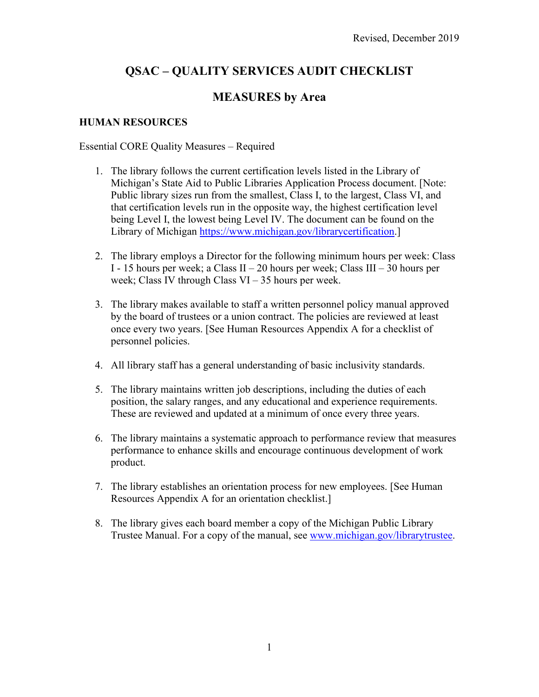# **QSAC – QUALITY SERVICES AUDIT CHECKLIST**

## **MEASURES by Area**

### **HUMAN RESOURCES**

#### Essential CORE Quality Measures – Required

- 1. The library follows the current certification levels listed in the Library of Michigan's State Aid to Public Libraries Application Process document. [Note: Public library sizes run from the smallest, Class I, to the largest, Class VI, and that certification levels run in the opposite way, the highest certification level being Level I, the lowest being Level IV. The document can be found on the Library of Michigan [https://www.michigan.gov/librarycertification.](https://www.michigan.gov/librarycertification)]
- 2. The library employs a Director for the following minimum hours per week: Class I - 15 hours per week; a Class II – 20 hours per week; Class III – 30 hours per week; Class IV through Class VI – 35 hours per week.
- 3. The library makes available to staff a written personnel policy manual approved by the board of trustees or a union contract. The policies are reviewed at least once every two years. [See Human Resources Appendix A for a checklist of personnel policies.
- 4. All library staff has a general understanding of basic inclusivity standards.
- 5. The library maintains written job descriptions, including the duties of each position, the salary ranges, and any educational and experience requirements. These are reviewed and updated at a minimum of once every three years.
- 6. The library maintains a systematic approach to performance review that measures performance to enhance skills and encourage continuous development of work product.
- 7. The library establishes an orientation process for new employees. [See Human Resources Appendix A for an orientation checklist.]
- 8. The library gives each board member a copy of the Michigan Public Library Trustee Manual. For a copy of the manual, see [www.michigan.gov/librarytrustee.](http://www.michigan.gov/librarytrustee)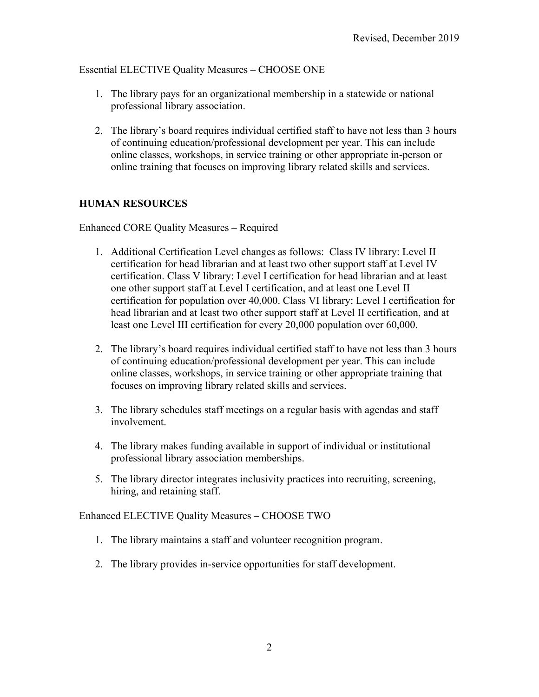Essential ELECTIVE Quality Measures – CHOOSE ONE

- 1. The library pays for an organizational membership in a statewide or national professional library association.
- 2. The library's board requires individual certified staff to have not less than 3 hours of continuing education/professional development per year. This can include online classes, workshops, in service training or other appropriate in-person or online training that focuses on improving library related skills and services.

### **HUMAN RESOURCES**

Enhanced CORE Quality Measures – Required

- 1. Additional Certification Level changes as follows: Class IV library: Level II certification for head librarian and at least two other support staff at Level IV certification. Class V library: Level I certification for head librarian and at least one other support staff at Level I certification, and at least one Level II certification for population over 40,000. Class VI library: Level I certification for head librarian and at least two other support staff at Level II certification, and at least one Level III certification for every 20,000 population over 60,000.
- 2. The library's board requires individual certified staff to have not less than 3 hours of continuing education/professional development per year. This can include online classes, workshops, in service training or other appropriate training that focuses on improving library related skills and services.
- 3. The library schedules staff meetings on a regular basis with agendas and staff involvement.
- 4. The library makes funding available in support of individual or institutional professional library association memberships.
- 5. The library director integrates inclusivity practices into recruiting, screening, hiring, and retaining staff.

Enhanced ELECTIVE Quality Measures – CHOOSE TWO

- 1. The library maintains a staff and volunteer recognition program.
- 2. The library provides in-service opportunities for staff development.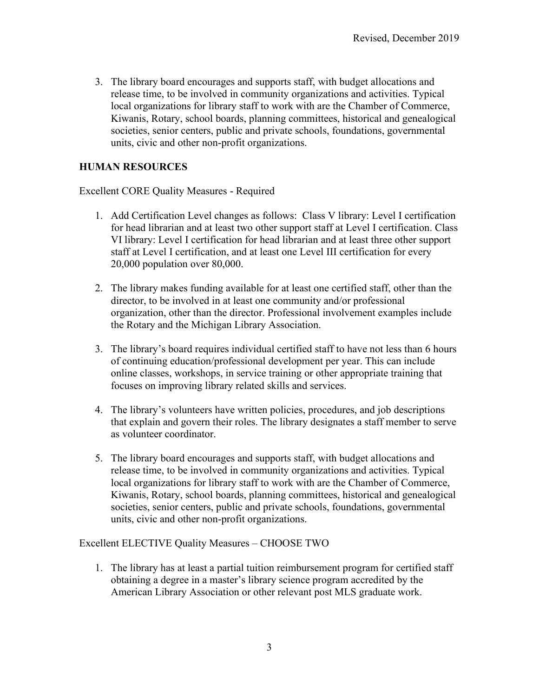3. The library board encourages and supports staff, with budget allocations and release time, to be involved in community organizations and activities. Typical local organizations for library staff to work with are the Chamber of Commerce, Kiwanis, Rotary, school boards, planning committees, historical and genealogical societies, senior centers, public and private schools, foundations, governmental units, civic and other non-profit organizations.

#### **HUMAN RESOURCES**

Excellent CORE Quality Measures - Required

- 1. Add Certification Level changes as follows: Class V library: Level I certification for head librarian and at least two other support staff at Level I certification. Class VI library: Level I certification for head librarian and at least three other support staff at Level I certification, and at least one Level III certification for every 20,000 population over 80,000.
- 2. The library makes funding available for at least one certified staff, other than the director, to be involved in at least one community and/or professional organization, other than the director. Professional involvement examples include the Rotary and the Michigan Library Association.
- 3. The library's board requires individual certified staff to have not less than 6 hours of continuing education/professional development per year. This can include online classes, workshops, in service training or other appropriate training that focuses on improving library related skills and services.
- 4. The library's volunteers have written policies, procedures, and job descriptions that explain and govern their roles. The library designates a staff member to serve as volunteer coordinator.
- 5. The library board encourages and supports staff, with budget allocations and release time, to be involved in community organizations and activities. Typical local organizations for library staff to work with are the Chamber of Commerce, Kiwanis, Rotary, school boards, planning committees, historical and genealogical societies, senior centers, public and private schools, foundations, governmental units, civic and other non-profit organizations.

Excellent ELECTIVE Quality Measures – CHOOSE TWO

1. The library has at least a partial tuition reimbursement program for certified staff obtaining a degree in a master's library science program accredited by the American Library Association or other relevant post MLS graduate work.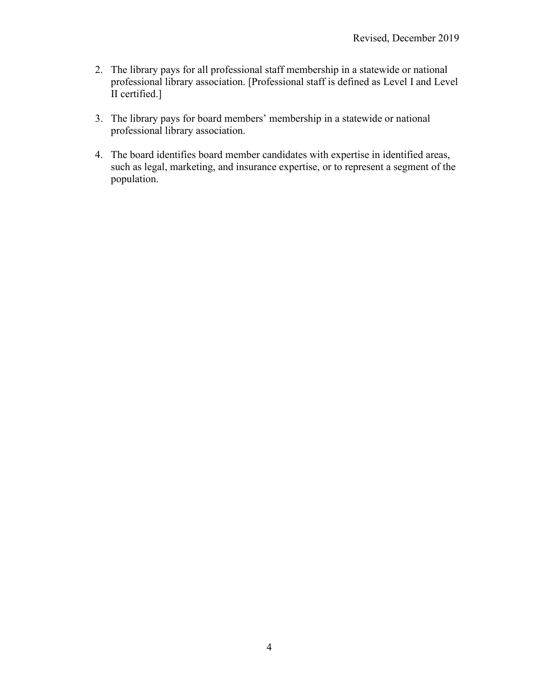- 2. The library pays for all professional staff membership in a statewide or national professional library association. [Professional staff is defined as Level I and Level II certified.]
- 3. The library pays for board members' membership in a statewide or national professional library association.
- 4. The board identifies board member candidates with expertise in identified areas, such as legal, marketing, and insurance expertise, or to represent a segment of the population.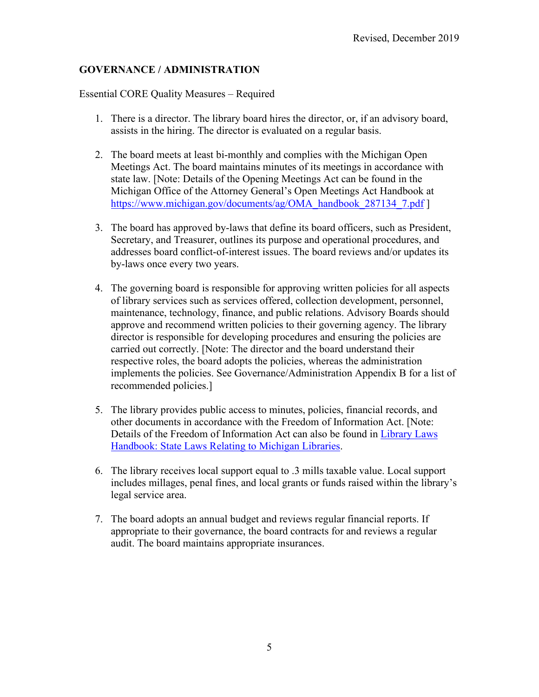### **GOVERNANCE / ADMINISTRATION**

#### Essential CORE Quality Measures – Required

- 1. There is a director. The library board hires the director, or, if an advisory board, assists in the hiring. The director is evaluated on a regular basis.
- 2. The board meets at least bi-monthly and complies with the Michigan Open Meetings Act. The board maintains minutes of its meetings in accordance with state law. [Note: Details of the Opening Meetings Act can be found in the Michigan Office of the Attorney General's Open Meetings Act Handbook at [https://www.michigan.gov/documents/ag/OMA\\_handbook\\_287134\\_7.pdf](https://www.michigan.gov/documents/ag/OMA_handbook_287134_7.pdf) ]
- 3. The board has approved by-laws that define its board officers, such as President, Secretary, and Treasurer, outlines its purpose and operational procedures, and addresses board conflict-of-interest issues. The board reviews and/or updates its by-laws once every two years.
- 4. The governing board is responsible for approving written policies for all aspects of library services such as services offered, collection development, personnel, maintenance, technology, finance, and public relations. Advisory Boards should approve and recommend written policies to their governing agency. The library director is responsible for developing procedures and ensuring the policies are carried out correctly. [Note: The director and the board understand their respective roles, the board adopts the policies, whereas the administration implements the policies. See Governance/Administration Appendix B for a list of recommended policies.]
- 5. The library provides public access to minutes, policies, financial records, and other documents in accordance with the Freedom of Information Act. [Note: Details of the Freedom of Information Act can also be found in [Library Laws](https://www.michigan.gov/libraryofmichigan/0,9327,7-381-88855_89735_89755-477021--,00.html)  [Handbook: State Laws Relating to Michigan Libraries.](https://www.michigan.gov/libraryofmichigan/0,9327,7-381-88855_89735_89755-477021--,00.html)
- 6. The library receives local support equal to .3 mills taxable value. Local support includes millages, penal fines, and local grants or funds raised within the library's legal service area.
- 7. The board adopts an annual budget and reviews regular financial reports. If appropriate to their governance, the board contracts for and reviews a regular audit. The board maintains appropriate insurances.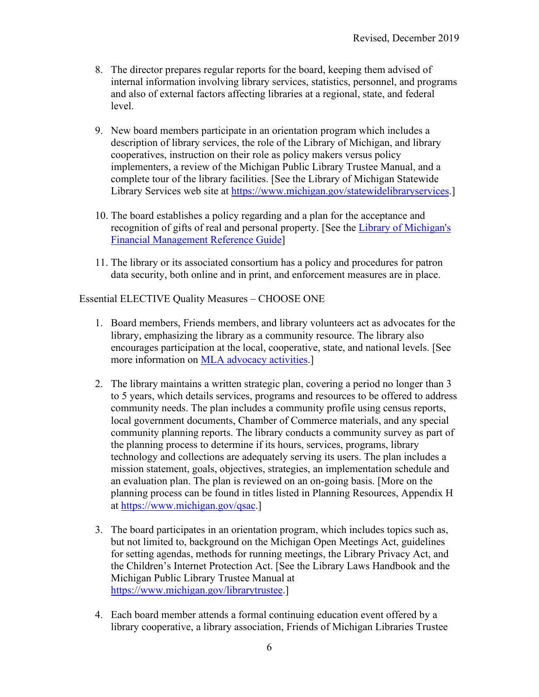- 8. The director prepares regular reports for the board, keeping them advised of internal information involving library services, statistics, personnel, and programs and also of external factors affecting libraries at a regional, state, and federal level.
- 9. New board members participate in an orientation program which includes a description of library services, the role of the Library of Michigan, and library cooperatives, instruction on their role as policy makers versus policy implementers, a review of the Michigan Public Library Trustee Manual, and a complete tour of the library facilities. [See the Library of Michigan Statewide Library Services web site at [https://www.michigan.gov/statewidelibraryservices.](https://www.michigan.gov/statewidelibraryservices)]
- 10. The board establishes a policy regarding and a plan for the acceptance and recognition of gifts of real and personal property. [See the [Library of Michigan's](https://www.michigan.gov/documents/libraryofmichigan/LM_SLS_2019_Financial_Management_Guide_FINAL_11-6-19_670795_7.pdf)  [Financial Management Reference Guide\]](https://www.michigan.gov/documents/libraryofmichigan/LM_SLS_2019_Financial_Management_Guide_FINAL_11-6-19_670795_7.pdf)
- 11. The library or its associated consortium has a policy and procedures for patron data security, both online and in print, and enforcement measures are in place.

Essential ELECTIVE Quality Measures – CHOOSE ONE

- 1. Board members, Friends members, and library volunteers act as advocates for the library, emphasizing the library as a community resource. The library also encourages participation at the local, cooperative, state, and national levels. [See more information on [MLA advocacy activities.](https://www.milibraries.org/advocacy-update)]
- 2. The library maintains a written strategic plan, covering a period no longer than 3 to 5 years, which details services, programs and resources to be offered to address community needs. The plan includes a community profile using census reports, local government documents, Chamber of Commerce materials, and any special community planning reports. The library conducts a community survey as part of the planning process to determine if its hours, services, programs, library technology and collections are adequately serving its users. The plan includes a mission statement, goals, objectives, strategies, an implementation schedule and an evaluation plan. The plan is reviewed on an on-going basis. [More on the planning process can be found in titles listed in Planning Resources, Appendix H at [https://www.michigan.gov/qsac.](https://www.michigan.gov/qsac)]
- 3. The board participates in an orientation program, which includes topics such as, but not limited to, background on the Michigan Open Meetings Act, guidelines for setting agendas, methods for running meetings, the Library Privacy Act, and the Children's Internet Protection Act. [See the Library Laws Handbook and the Michigan Public Library Trustee Manual at [https://www.michigan.gov/librarytrustee.](https://www.michigan.gov/librarytrustee)]
- 4. Each board member attends a formal continuing education event offered by a library cooperative, a library association, Friends of Michigan Libraries Trustee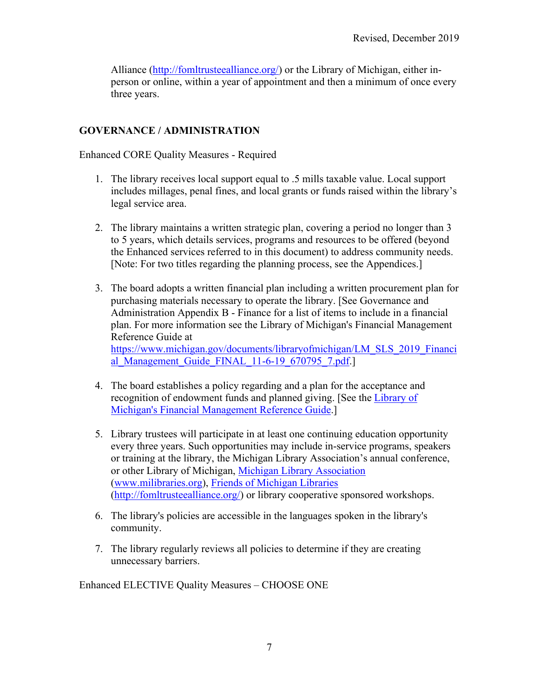Alliance [\(http://fomltrusteealliance.org/\)](http://fomltrusteealliance.org/) or the Library of Michigan, either inperson or online, within a year of appointment and then a minimum of once every three years.

### **GOVERNANCE / ADMINISTRATION**

Enhanced CORE Quality Measures - Required

- 1. The library receives local support equal to .5 mills taxable value. Local support includes millages, penal fines, and local grants or funds raised within the library's legal service area.
- 2. The library maintains a written strategic plan, covering a period no longer than 3 to 5 years, which details services, programs and resources to be offered (beyond the Enhanced services referred to in this document) to address community needs. [Note: For two titles regarding the planning process, see the Appendices.]
- 3. The board adopts a written financial plan including a written procurement plan for purchasing materials necessary to operate the library. [See Governance and Administration Appendix B - Finance for a list of items to include in a financial plan. For more information see the Library of Michigan's Financial Management Reference Guide at [https://www.michigan.gov/documents/libraryofmichigan/LM\\_SLS\\_2019\\_Financi](https://www.michigan.gov/documents/libraryofmichigan/LM_SLS_2019_Financial_Management_Guide_FINAL_11-6-19_670795_7.pdf) al Management Guide FINAL 11-6-19 670795 7.pdf.]
- 4. The board establishes a policy regarding and a plan for the acceptance and recognition of endowment funds and planned giving. [See the [Library of](https://www.michigan.gov/documents/libraryofmichigan/LM_SLS_2019_Financial_Management_Guide_FINAL_11-6-19_670795_7.pdf)  [Michigan's Financial Management Reference Guide.](https://www.michigan.gov/documents/libraryofmichigan/LM_SLS_2019_Financial_Management_Guide_FINAL_11-6-19_670795_7.pdf)]
- 5. Library trustees will participate in at least one continuing education opportunity every three years. Such opportunities may include in-service programs, speakers or training at the library, the Michigan Library Association's annual conference, or other Library of Michigan, Michigan Library Association [\(www.milibraries.org\)](http://www.milibraries.org/), Friends of [Michigan Libraries](http://fomltrusteealliance.org/) [\(http://fomltrusteealliance.org/\)](http://fomltrusteealliance.org/) or library cooperative sponsored workshops.
- 6. The library's policies are accessible in the languages spoken in the library's community.
- 7. The library regularly reviews all policies to determine if they are creating unnecessary barriers.

Enhanced ELECTIVE Quality Measures – CHOOSE ONE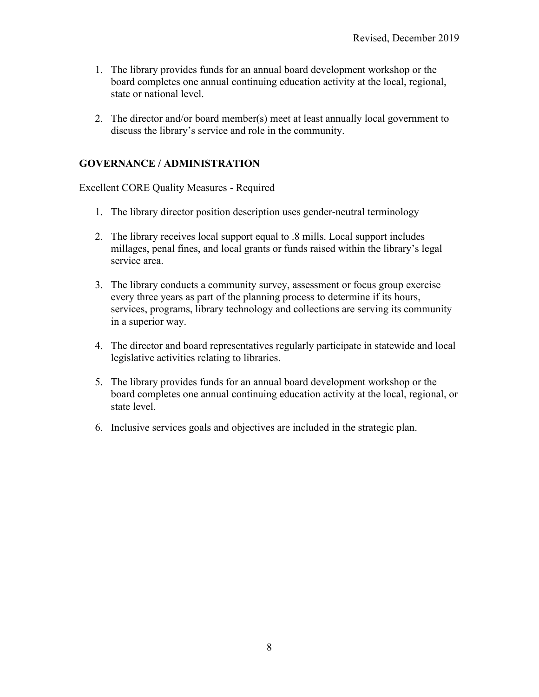- 1. The library provides funds for an annual board development workshop or the board completes one annual continuing education activity at the local, regional, state or national level.
- 2. The director and/or board member(s) meet at least annually local government to discuss the library's service and role in the community.

### **GOVERNANCE / ADMINISTRATION**

Excellent CORE Quality Measures - Required

- 1. The library director position description uses gender-neutral terminology
- 2. The library receives local support equal to .8 mills. Local support includes millages, penal fines, and local grants or funds raised within the library's legal service area.
- 3. The library conducts a community survey, assessment or focus group exercise every three years as part of the planning process to determine if its hours, services, programs, library technology and collections are serving its community in a superior way.
- 4. The director and board representatives regularly participate in statewide and local legislative activities relating to libraries.
- 5. The library provides funds for an annual board development workshop or the board completes one annual continuing education activity at the local, regional, or state level.
- 6. Inclusive services goals and objectives are included in the strategic plan.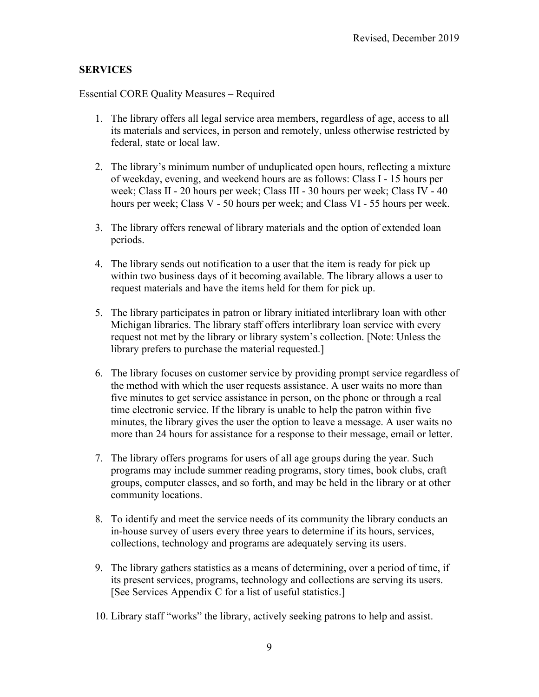#### **SERVICES**

Essential CORE Quality Measures – Required

- 1. The library offers all legal service area members, regardless of age, access to all its materials and services, in person and remotely, unless otherwise restricted by federal, state or local law.
- 2. The library's minimum number of unduplicated open hours, reflecting a mixture of weekday, evening, and weekend hours are as follows: Class I - 15 hours per week; Class II - 20 hours per week; Class III - 30 hours per week; Class IV - 40 hours per week; Class V - 50 hours per week; and Class VI - 55 hours per week.
- 3. The library offers renewal of library materials and the option of extended loan periods.
- 4. The library sends out notification to a user that the item is ready for pick up within two business days of it becoming available. The library allows a user to request materials and have the items held for them for pick up.
- 5. The library participates in patron or library initiated interlibrary loan with other Michigan libraries. The library staff offers interlibrary loan service with every request not met by the library or library system's collection. [Note: Unless the library prefers to purchase the material requested.]
- 6. The library focuses on customer service by providing prompt service regardless of the method with which the user requests assistance. A user waits no more than five minutes to get service assistance in person, on the phone or through a real time electronic service. If the library is unable to help the patron within five minutes, the library gives the user the option to leave a message. A user waits no more than 24 hours for assistance for a response to their message, email or letter.
- 7. The library offers programs for users of all age groups during the year. Such programs may include summer reading programs, story times, book clubs, craft groups, computer classes, and so forth, and may be held in the library or at other community locations.
- 8. To identify and meet the service needs of its community the library conducts an in-house survey of users every three years to determine if its hours, services, collections, technology and programs are adequately serving its users.
- 9. The library gathers statistics as a means of determining, over a period of time, if its present services, programs, technology and collections are serving its users. [See Services Appendix C for a list of useful statistics.]
- 10. Library staff "works" the library, actively seeking patrons to help and assist.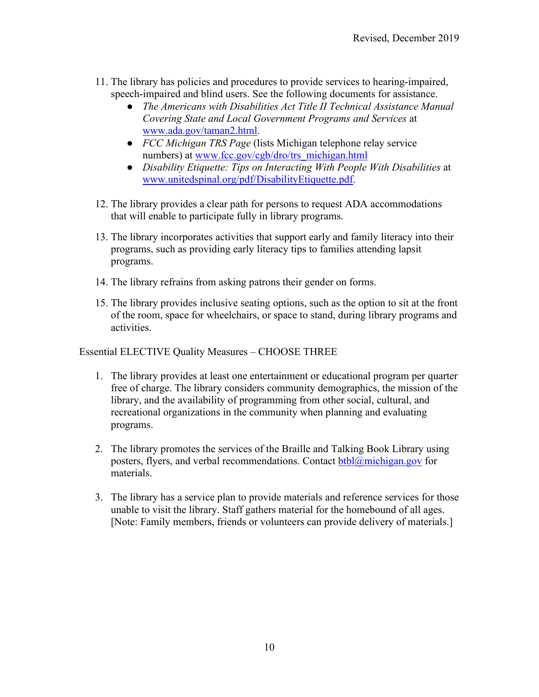- 11. The library has policies and procedures to provide services to hearing-impaired, speech-impaired and blind users. See the following documents for assistance.
	- *The Americans with Disabilities Act Title II Technical Assistance Manual Covering State and Local Government Programs and Services* at [www.ada.gov/taman2.html.](http://www.ada.gov/taman2.html)
	- *FCC Michigan TRS Page* (lists Michigan telephone relay service numbers) at [www.fcc.gov/cgb/dro/trs\\_michigan.html](http://www.fcc.gov/cgb/dro/trs_michigan.html)
	- *Disability Etiquette: Tips on Interacting With People With Disabilities* at [www.unitedspinal.org/pdf/DisabilityEtiquette.pdf.](http://www.unitedspinal.org/pdf/DisabilityEtiquette.pdf)
- 12. The library provides a clear path for persons to request ADA accommodations that will enable to participate fully in library programs.
- 13. The library incorporates activities that support early and family literacy into their programs, such as providing early literacy tips to families attending lapsit programs.
- 14. The library refrains from asking patrons their gender on forms.
- 15. The library provides inclusive seating options, such as the option to sit at the front of the room, space for wheelchairs, or space to stand, during library programs and activities.

Essential ELECTIVE Quality Measures – CHOOSE THREE

- 1. The library provides at least one entertainment or educational program per quarter free of charge. The library considers community demographics, the mission of the library, and the availability of programming from other social, cultural, and recreational organizations in the community when planning and evaluating programs.
- 2. The library promotes the services of the Braille and Talking Book Library using posters, flyers, and verbal recommendations. Contact  $btbl@michigan.gov$  for materials.
- 3. The library has a service plan to provide materials and reference services for those unable to visit the library. Staff gathers material for the homebound of all ages. [Note: Family members, friends or volunteers can provide delivery of materials.]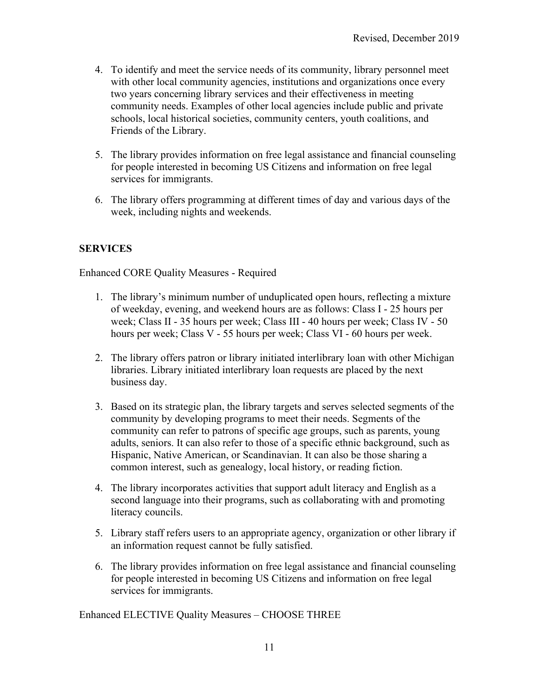- 4. To identify and meet the service needs of its community, library personnel meet with other local community agencies, institutions and organizations once every two years concerning library services and their effectiveness in meeting community needs. Examples of other local agencies include public and private schools, local historical societies, community centers, youth coalitions, and Friends of the Library.
- 5. The library provides information on free legal assistance and financial counseling for people interested in becoming US Citizens and information on free legal services for immigrants.
- 6. The library offers programming at different times of day and various days of the week, including nights and weekends.

#### **SERVICES**

Enhanced CORE Quality Measures - Required

- 1. The library's minimum number of unduplicated open hours, reflecting a mixture of weekday, evening, and weekend hours are as follows: Class I - 25 hours per week; Class II - 35 hours per week; Class III - 40 hours per week; Class IV - 50 hours per week; Class V - 55 hours per week; Class VI - 60 hours per week.
- 2. The library offers patron or library initiated interlibrary loan with other Michigan libraries. Library initiated interlibrary loan requests are placed by the next business day.
- 3. Based on its strategic plan, the library targets and serves selected segments of the community by developing programs to meet their needs. Segments of the community can refer to patrons of specific age groups, such as parents, young adults, seniors. It can also refer to those of a specific ethnic background, such as Hispanic, Native American, or Scandinavian. It can also be those sharing a common interest, such as genealogy, local history, or reading fiction.
- 4. The library incorporates activities that support adult literacy and English as a second language into their programs, such as collaborating with and promoting literacy councils.
- 5. Library staff refers users to an appropriate agency, organization or other library if an information request cannot be fully satisfied.
- 6. The library provides information on free legal assistance and financial counseling for people interested in becoming US Citizens and information on free legal services for immigrants.

Enhanced ELECTIVE Quality Measures – CHOOSE THREE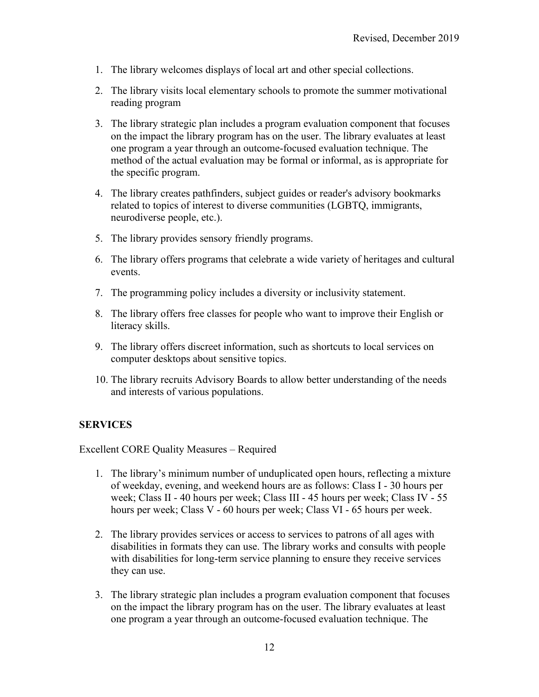- 1. The library welcomes displays of local art and other special collections.
- 2. The library visits local elementary schools to promote the summer motivational reading program
- 3. The library strategic plan includes a program evaluation component that focuses on the impact the library program has on the user. The library evaluates at least one program a year through an outcome-focused evaluation technique. The method of the actual evaluation may be formal or informal, as is appropriate for the specific program.
- 4. The library creates pathfinders, subject guides or reader's advisory bookmarks related to topics of interest to diverse communities (LGBTQ, immigrants, neurodiverse people, etc.).
- 5. The library provides sensory friendly programs.
- 6. The library offers programs that celebrate a wide variety of heritages and cultural events.
- 7. The programming policy includes a diversity or inclusivity statement.
- 8. The library offers free classes for people who want to improve their English or literacy skills.
- 9. The library offers discreet information, such as shortcuts to local services on computer desktops about sensitive topics.
- 10. The library recruits Advisory Boards to allow better understanding of the needs and interests of various populations.

#### **SERVICES**

Excellent CORE Quality Measures – Required

- 1. The library's minimum number of unduplicated open hours, reflecting a mixture of weekday, evening, and weekend hours are as follows: Class I - 30 hours per week; Class II - 40 hours per week; Class III - 45 hours per week; Class IV - 55 hours per week; Class V - 60 hours per week; Class VI - 65 hours per week.
- 2. The library provides services or access to services to patrons of all ages with disabilities in formats they can use. The library works and consults with people with disabilities for long-term service planning to ensure they receive services they can use.
- 3. The library strategic plan includes a program evaluation component that focuses on the impact the library program has on the user. The library evaluates at least one program a year through an outcome-focused evaluation technique. The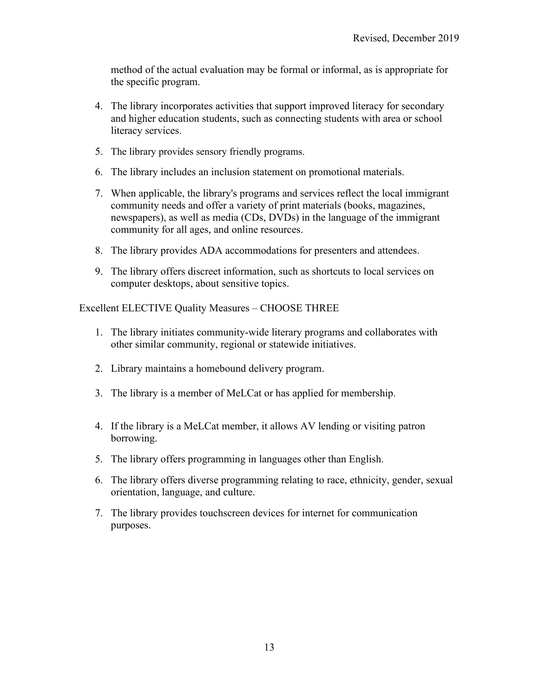method of the actual evaluation may be formal or informal, as is appropriate for the specific program.

- 4. The library incorporates activities that support improved literacy for secondary and higher education students, such as connecting students with area or school literacy services.
- 5. The library provides sensory friendly programs.
- 6. The library includes an inclusion statement on promotional materials.
- 7. When applicable, the library's programs and services reflect the local immigrant community needs and offer a variety of print materials (books, magazines, newspapers), as well as media (CDs, DVDs) in the language of the immigrant community for all ages, and online resources.
- 8. The library provides ADA accommodations for presenters and attendees.
- 9. The library offers discreet information, such as shortcuts to local services on computer desktops, about sensitive topics.

Excellent ELECTIVE Quality Measures – CHOOSE THREE

- 1. The library initiates community-wide literary programs and collaborates with other similar community, regional or statewide initiatives.
- 2. Library maintains a homebound delivery program.
- 3. The library is a member of MeLCat or has applied for membership.
- 4. If the library is a MeLCat member, it allows AV lending or visiting patron borrowing.
- 5. The library offers programming in languages other than English.
- 6. The library offers diverse programming relating to race, ethnicity, gender, sexual orientation, language, and culture.
- 7. The library provides touchscreen devices for internet for communication purposes.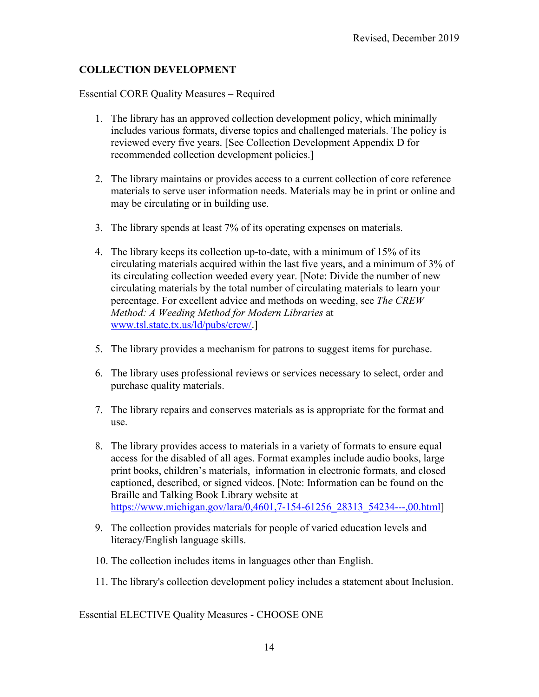### **COLLECTION DEVELOPMENT**

Essential CORE Quality Measures – Required

- 1. The library has an approved collection development policy, which minimally includes various formats, diverse topics and challenged materials. The policy is reviewed every five years. [See Collection Development Appendix D for recommended collection development policies.]
- 2. The library maintains or provides access to a current collection of core reference materials to serve user information needs. Materials may be in print or online and may be circulating or in building use.
- 3. The library spends at least 7% of its operating expenses on materials.
- 4. The library keeps its collection up-to-date, with a minimum of 15% of its circulating materials acquired within the last five years, and a minimum of 3% of its circulating collection weeded every year. [Note: Divide the number of new circulating materials by the total number of circulating materials to learn your percentage. For excellent advice and methods on weeding, see *The CREW Method: A Weeding Method for Modern Libraries* at [www.tsl.state.tx.us/ld/pubs/crew/.](http://www.tsl.state.tx.us/ld/pubs/crew/)]
- 5. The library provides a mechanism for patrons to suggest items for purchase.
- 6. The library uses professional reviews or services necessary to select, order and purchase quality materials.
- 7. The library repairs and conserves materials as is appropriate for the format and use.
- 8. The library provides access to materials in a variety of formats to ensure equal access for the disabled of all ages. Format examples include audio books, large print books, children's materials, information in electronic formats, and closed captioned, described, or signed videos. [Note: Information can be found on the Braille and Talking Book Library website at [https://www.michigan.gov/lara/0,4601,7-154-61256\\_28313\\_54234---,00.html\]](https://www.michigan.gov/lara/0,4601,7-154-61256_28313_54234---,00.html)
- 9. The collection provides materials for people of varied education levels and literacy/English language skills.
- 10. The collection includes items in languages other than English.
- 11. The library's collection development policy includes a statement about Inclusion.

Essential ELECTIVE Quality Measures - CHOOSE ONE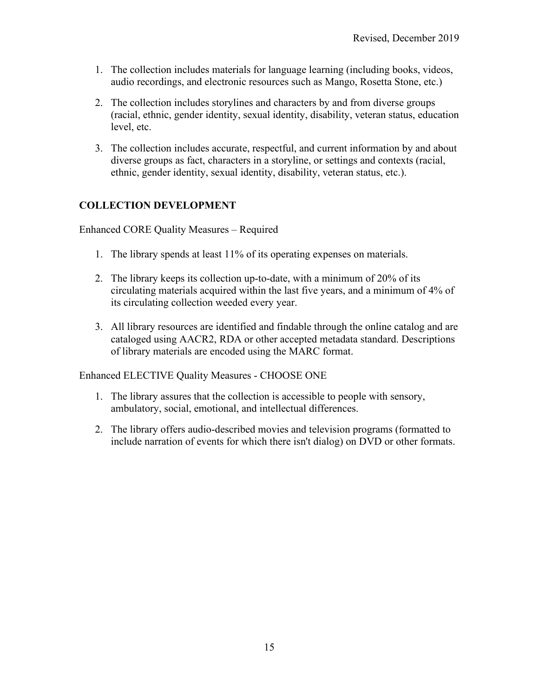- 1. The collection includes materials for language learning (including books, videos, audio recordings, and electronic resources such as Mango, Rosetta Stone, etc.)
- 2. The collection includes storylines and characters by and from diverse groups (racial, ethnic, gender identity, sexual identity, disability, veteran status, education level, etc.
- 3. The collection includes accurate, respectful, and current information by and about diverse groups as fact, characters in a storyline, or settings and contexts (racial, ethnic, gender identity, sexual identity, disability, veteran status, etc.).

### **COLLECTION DEVELOPMENT**

Enhanced CORE Quality Measures – Required

- 1. The library spends at least 11% of its operating expenses on materials.
- 2. The library keeps its collection up-to-date, with a minimum of 20% of its circulating materials acquired within the last five years, and a minimum of 4% of its circulating collection weeded every year.
- 3. All library resources are identified and findable through the online catalog and are cataloged using AACR2, RDA or other accepted metadata standard. Descriptions of library materials are encoded using the MARC format.

Enhanced ELECTIVE Quality Measures - CHOOSE ONE

- 1. The library assures that the collection is accessible to people with sensory, ambulatory, social, emotional, and intellectual differences.
- 2. The library offers audio-described movies and television programs (formatted to include narration of events for which there isn't dialog) on DVD or other formats.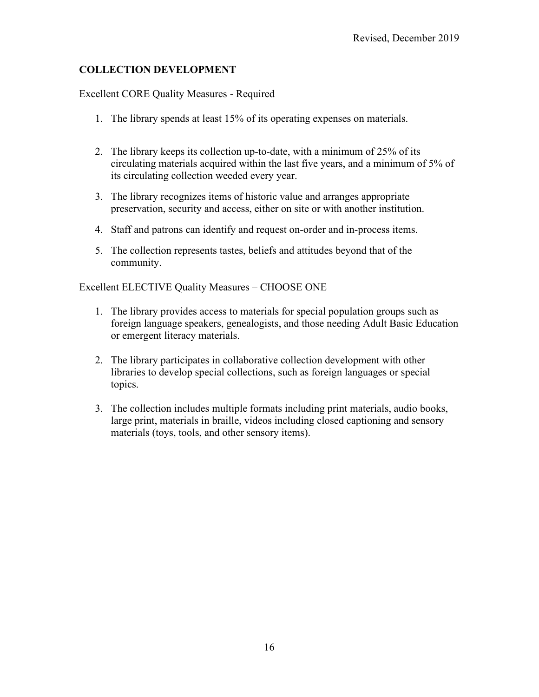### **COLLECTION DEVELOPMENT**

Excellent CORE Quality Measures - Required

- 1. The library spends at least 15% of its operating expenses on materials.
- 2. The library keeps its collection up-to-date, with a minimum of 25% of its circulating materials acquired within the last five years, and a minimum of 5% of its circulating collection weeded every year.
- 3. The library recognizes items of historic value and arranges appropriate preservation, security and access, either on site or with another institution.
- 4. Staff and patrons can identify and request on-order and in-process items.
- 5. The collection represents tastes, beliefs and attitudes beyond that of the community.

Excellent ELECTIVE Quality Measures – CHOOSE ONE

- 1. The library provides access to materials for special population groups such as foreign language speakers, genealogists, and those needing Adult Basic Education or emergent literacy materials.
- 2. The library participates in collaborative collection development with other libraries to develop special collections, such as foreign languages or special topics.
- 3. The collection includes multiple formats including print materials, audio books, large print, materials in braille, videos including closed captioning and sensory materials (toys, tools, and other sensory items).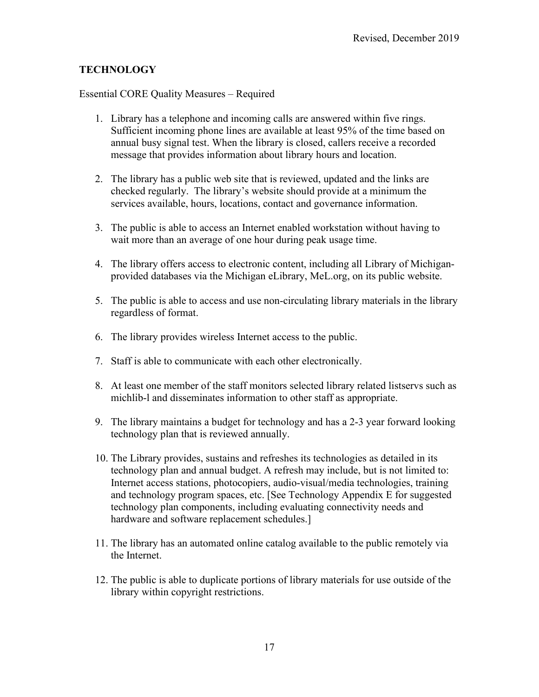### **TECHNOLOGY**

Essential CORE Quality Measures – Required

- 1. Library has a telephone and incoming calls are answered within five rings. Sufficient incoming phone lines are available at least 95% of the time based on annual busy signal test. When the library is closed, callers receive a recorded message that provides information about library hours and location.
- 2. The library has a public web site that is reviewed, updated and the links are checked regularly. The library's website should provide at a minimum the services available, hours, locations, contact and governance information.
- 3. The public is able to access an Internet enabled workstation without having to wait more than an average of one hour during peak usage time.
- 4. The library offers access to electronic content, including all Library of Michiganprovided databases via the Michigan eLibrary, MeL.org, on its public website.
- 5. The public is able to access and use non-circulating library materials in the library regardless of format.
- 6. The library provides wireless Internet access to the public.
- 7. Staff is able to communicate with each other electronically.
- 8. At least one member of the staff monitors selected library related listservs such as michlib-l and disseminates information to other staff as appropriate.
- 9. The library maintains a budget for technology and has a 2-3 year forward looking technology plan that is reviewed annually.
- 10. The Library provides, sustains and refreshes its technologies as detailed in its technology plan and annual budget. A refresh may include, but is not limited to: Internet access stations, photocopiers, audio-visual/media technologies, training and technology program spaces, etc. [See Technology Appendix E for suggested technology plan components, including evaluating connectivity needs and hardware and software replacement schedules.]
- 11. The library has an automated online catalog available to the public remotely via the Internet.
- 12. The public is able to duplicate portions of library materials for use outside of the library within copyright restrictions.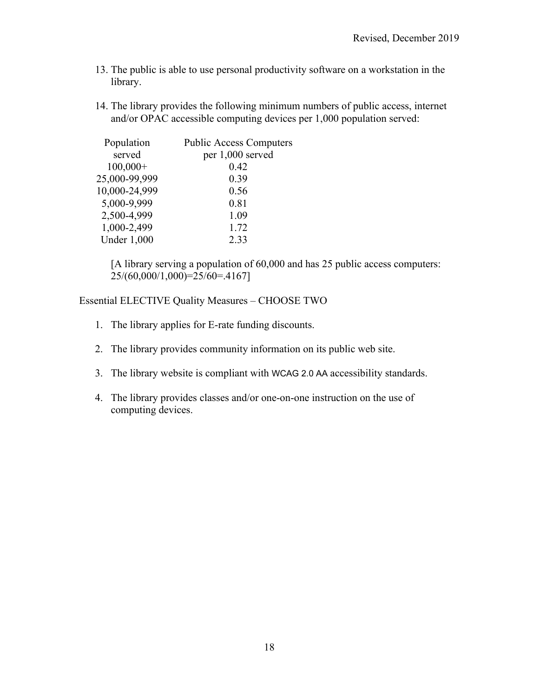- 13. The public is able to use personal productivity software on a workstation in the library.
- 14. The library provides the following minimum numbers of public access, internet and/or OPAC accessible computing devices per 1,000 population served:

| Population         | <b>Public Access Computers</b> |
|--------------------|--------------------------------|
| served             | per 1,000 served               |
| $100,000+$         | 0.42                           |
| 25,000-99,999      | 0.39                           |
| 10,000-24,999      | 0.56                           |
| 5,000-9,999        | 0.81                           |
| 2,500-4,999        | 1.09                           |
| 1,000-2,499        | 1.72                           |
| <b>Under 1,000</b> | 2.33                           |

[A library serving a population of 60,000 and has 25 public access computers: 25/(60,000/1,000)=25/60=.4167]

Essential ELECTIVE Quality Measures – CHOOSE TWO

- 1. The library applies for E-rate funding discounts.
- 2. The library provides community information on its public web site.
- 3. The library website is compliant with WCAG 2.0 AA accessibility standards.
- 4. The library provides classes and/or one-on-one instruction on the use of computing devices.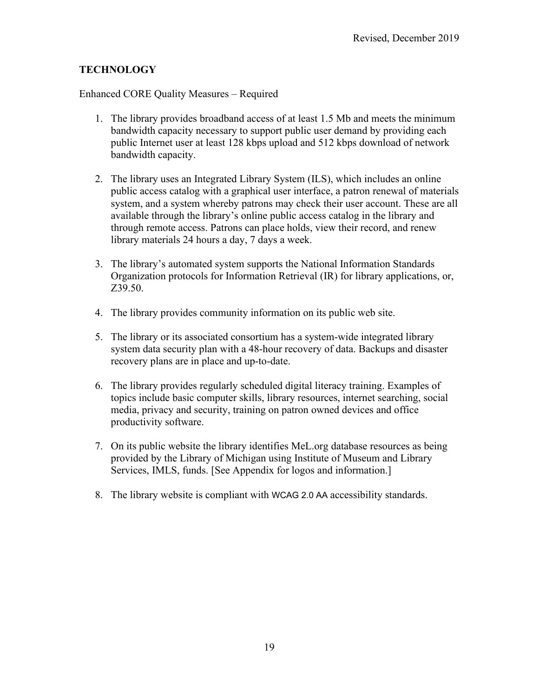#### **TECHNOLOGY**

Enhanced CORE Quality Measures – Required

- 1. The library provides broadband access of at least 1.5 Mb and meets the minimum bandwidth capacity necessary to support public user demand by providing each public Internet user at least 128 kbps upload and 512 kbps download of network bandwidth capacity.
- 2. The library uses an Integrated Library System (ILS), which includes an online public access catalog with a graphical user interface, a patron renewal of materials system, and a system whereby patrons may check their user account. These are all available through the library's online public access catalog in the library and through remote access. Patrons can place holds, view their record, and renew library materials 24 hours a day, 7 days a week.
- 3. The library's automated system supports the National Information Standards Organization protocols for Information Retrieval (IR) for library applications, or, Z39.50.
- 4. The library provides community information on its public web site.
- 5. The library or its associated consortium has a system-wide integrated library system data security plan with a 48-hour recovery of data. Backups and disaster recovery plans are in place and up-to-date.
- 6. The library provides regularly scheduled digital literacy training. Examples of topics include basic computer skills, library resources, internet searching, social media, privacy and security, training on patron owned devices and office productivity software.
- 7. On its public website the library identifies MeL.org database resources as being provided by the Library of Michigan using Institute of Museum and Library Services, IMLS, funds. [See Appendix for logos and information.]
- 8. The library website is compliant with WCAG 2.0 AA accessibility standards.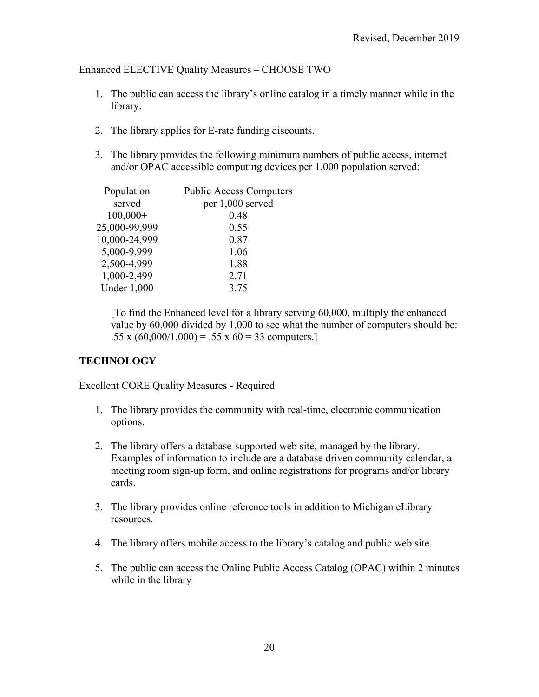#### Enhanced ELECTIVE Quality Measures – CHOOSE TWO

- 1. The public can access the library's online catalog in a timely manner while in the library.
- 2. The library applies for E-rate funding discounts.
- 3. The library provides the following minimum numbers of public access, internet and/or OPAC accessible computing devices per 1,000 population served:

| Population         | <b>Public Access Computers</b> |
|--------------------|--------------------------------|
| served             | per 1,000 served               |
| $100,000+$         | 0.48                           |
| 25,000-99,999      | 0.55                           |
| 10,000-24,999      | 0.87                           |
| 5,000-9,999        | 1.06                           |
| 2,500-4,999        | 1.88                           |
| 1,000-2,499        | 2.71                           |
| <b>Under 1,000</b> | 3.75                           |
|                    |                                |

[To find the Enhanced level for a library serving 60,000, multiply the enhanced value by 60,000 divided by 1,000 to see what the number of computers should be: .55 x  $(60,000/1,000) = .55$  x  $60 = 33$  computers.]

#### **TECHNOLOGY**

Excellent CORE Quality Measures - Required

- 1. The library provides the community with real-time, electronic communication options.
- 2. The library offers a database-supported web site, managed by the library. Examples of information to include are a database driven community calendar, a meeting room sign-up form, and online registrations for programs and/or library cards.
- 3. The library provides online reference tools in addition to Michigan eLibrary resources.
- 4. The library offers mobile access to the library's catalog and public web site.
- 5. The public can access the Online Public Access Catalog (OPAC) within 2 minutes while in the library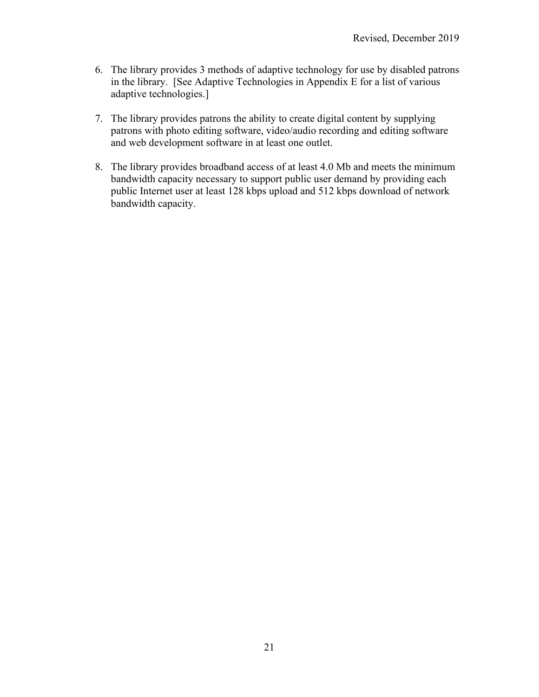- 6. The library provides 3 methods of adaptive technology for use by disabled patrons in the library. [See Adaptive Technologies in Appendix E for a list of various adaptive technologies.]
- 7. The library provides patrons the ability to create digital content by supplying patrons with photo editing software, video/audio recording and editing software and web development software in at least one outlet.
- 8. The library provides broadband access of at least 4.0 Mb and meets the minimum bandwidth capacity necessary to support public user demand by providing each public Internet user at least 128 kbps upload and 512 kbps download of network bandwidth capacity.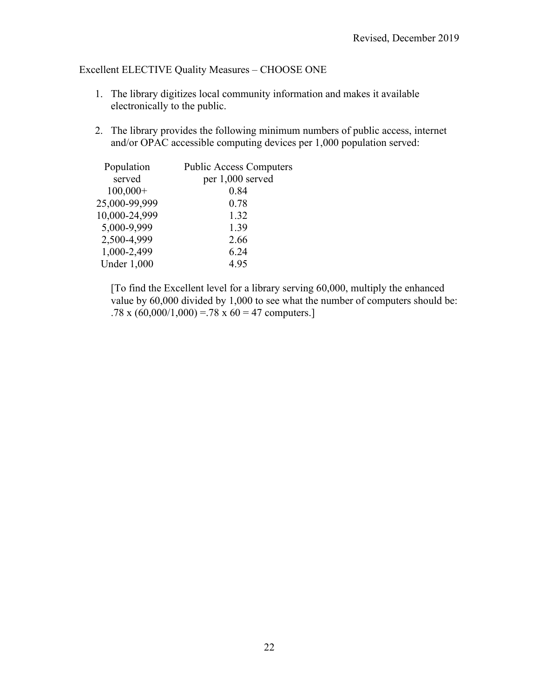### Excellent ELECTIVE Quality Measures – CHOOSE ONE

- 1. The library digitizes local community information and makes it available electronically to the public.
- 2. The library provides the following minimum numbers of public access, internet and/or OPAC accessible computing devices per 1,000 population served:

| Population         | <b>Public Access Computers</b> |
|--------------------|--------------------------------|
| served             | per 1,000 served               |
| $100,000+$         | 0.84                           |
| 25,000-99,999      | 0.78                           |
| 10,000-24,999      | 1.32                           |
| 5,000-9,999        | 1.39                           |
| 2,500-4,999        | 2.66                           |
| 1,000-2,499        | 6.24                           |
| <b>Under 1,000</b> | 4.95                           |
|                    |                                |

[To find the Excellent level for a library serving 60,000, multiply the enhanced value by 60,000 divided by 1,000 to see what the number of computers should be: .78 x  $(60,000/1,000) = .78$  x  $60 = 47$  computers.]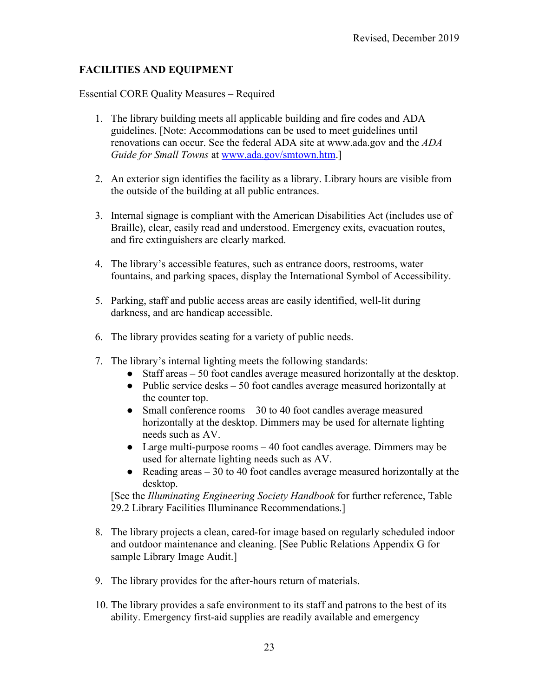### **FACILITIES AND EQUIPMENT**

Essential CORE Quality Measures – Required

- 1. The library building meets all applicable building and fire codes and ADA guidelines. [Note: Accommodations can be used to meet guidelines until renovations can occur. See the federal ADA site at www.ada.gov and the *ADA Guide for Small Towns* at [www.ada.gov/smtown.htm.](http://www.ada.gov/smtown.htm)]
- 2. An exterior sign identifies the facility as a library. Library hours are visible from the outside of the building at all public entrances.
- 3. Internal signage is compliant with the American Disabilities Act (includes use of Braille), clear, easily read and understood. Emergency exits, evacuation routes, and fire extinguishers are clearly marked.
- 4. The library's accessible features, such as entrance doors, restrooms, water fountains, and parking spaces, display the International Symbol of Accessibility.
- 5. Parking, staff and public access areas are easily identified, well-lit during darkness, and are handicap accessible.
- 6. The library provides seating for a variety of public needs.
- 7. The library's internal lighting meets the following standards:
	- Staff areas 50 foot candles average measured horizontally at the desktop.
	- Public service desks 50 foot candles average measured horizontally at the counter top.
	- Small conference rooms  $-30$  to 40 foot candles average measured horizontally at the desktop. Dimmers may be used for alternate lighting needs such as AV.
	- Large multi-purpose rooms 40 foot candles average. Dimmers may be used for alternate lighting needs such as AV.
	- Reading areas 30 to 40 foot candles average measured horizontally at the desktop.

[See the *Illuminating Engineering Society Handbook* for further reference, Table 29.2 Library Facilities Illuminance Recommendations.]

- 8. The library projects a clean, cared-for image based on regularly scheduled indoor and outdoor maintenance and cleaning. [See Public Relations Appendix G for sample Library Image Audit.]
- 9. The library provides for the after-hours return of materials.
- 10. The library provides a safe environment to its staff and patrons to the best of its ability. Emergency first-aid supplies are readily available and emergency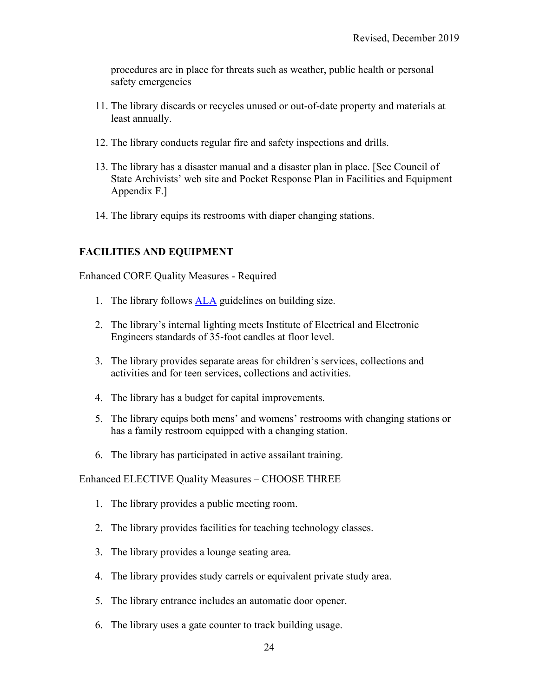procedures are in place for threats such as weather, public health or personal safety emergencies

- 11. The library discards or recycles unused or out-of-date property and materials at least annually.
- 12. The library conducts regular fire and safety inspections and drills.
- 13. The library has a disaster manual and a disaster plan in place. [See Council of State Archivists' web site and Pocket Response Plan in Facilities and Equipment Appendix F.]
- 14. The library equips its restrooms with diaper changing stations.

### **FACILITIES AND EQUIPMENT**

Enhanced CORE Quality Measures - Required

- 1. The library follows [ALA](http://ala.org/) guidelines on building size.
- 2. The library's internal lighting meets Institute of Electrical and Electronic Engineers standards of 35-foot candles at floor level.
- 3. The library provides separate areas for children's services, collections and activities and for teen services, collections and activities.
- 4. The library has a budget for capital improvements.
- 5. The library equips both mens' and womens' restrooms with changing stations or has a family restroom equipped with a changing station.
- 6. The library has participated in active assailant training.

Enhanced ELECTIVE Quality Measures – CHOOSE THREE

- 1. The library provides a public meeting room.
- 2. The library provides facilities for teaching technology classes.
- 3. The library provides a lounge seating area.
- 4. The library provides study carrels or equivalent private study area.
- 5. The library entrance includes an automatic door opener.
- 6. The library uses a gate counter to track building usage.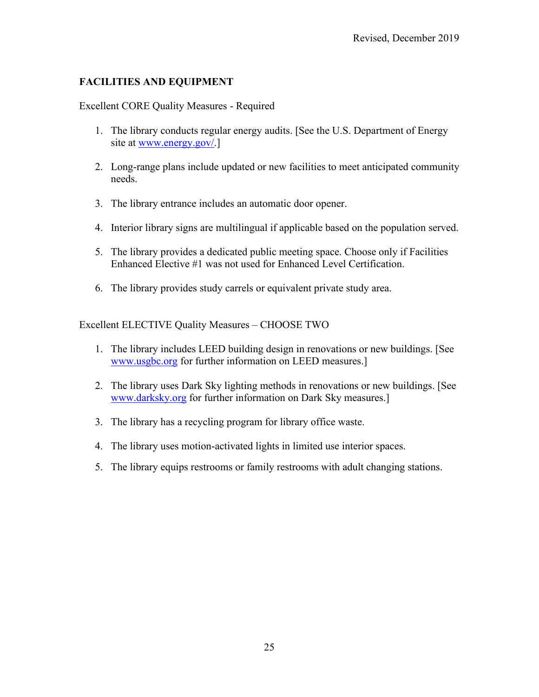### **FACILITIES AND EQUIPMENT**

#### Excellent CORE Quality Measures - Required

- 1. The library conducts regular energy audits. [See the U.S. Department of Energy site at [www.energy.gov/.](http://www.energy.gov/)]
- 2. Long-range plans include updated or new facilities to meet anticipated community needs.
- 3. The library entrance includes an automatic door opener.
- 4. Interior library signs are multilingual if applicable based on the population served.
- 5. The library provides a dedicated public meeting space. Choose only if Facilities Enhanced Elective #1 was not used for Enhanced Level Certification.
- 6. The library provides study carrels or equivalent private study area.

#### Excellent ELECTIVE Quality Measures – CHOOSE TWO

- 1. The library includes LEED building design in renovations or new buildings. [See [www.usgbc.org](http://www.usgbc.org/) for further information on LEED measures.]
- 2. The library uses Dark Sky lighting methods in renovations or new buildings. [See [www.darksky.org](http://www.darksky.org/) for further information on Dark Sky measures.]
- 3. The library has a recycling program for library office waste.
- 4. The library uses motion-activated lights in limited use interior spaces.
- 5. The library equips restrooms or family restrooms with adult changing stations.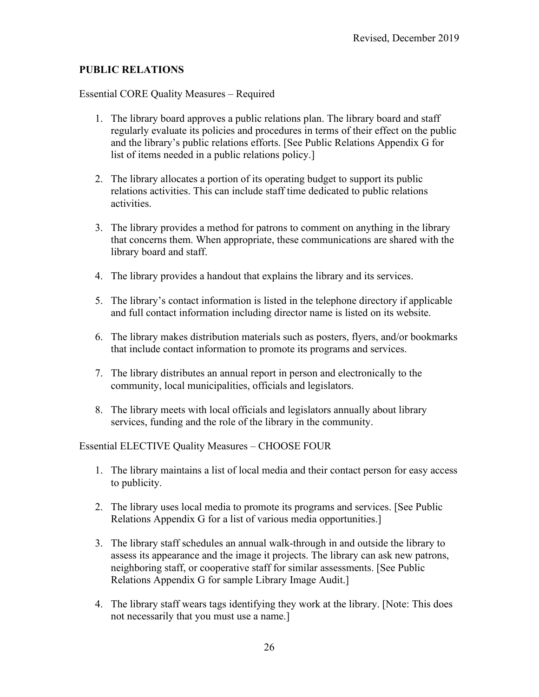### **PUBLIC RELATIONS**

Essential CORE Quality Measures – Required

- 1. The library board approves a public relations plan. The library board and staff regularly evaluate its policies and procedures in terms of their effect on the public and the library's public relations efforts. [See Public Relations Appendix G for list of items needed in a public relations policy.]
- 2. The library allocates a portion of its operating budget to support its public relations activities. This can include staff time dedicated to public relations activities.
- 3. The library provides a method for patrons to comment on anything in the library that concerns them. When appropriate, these communications are shared with the library board and staff.
- 4. The library provides a handout that explains the library and its services.
- 5. The library's contact information is listed in the telephone directory if applicable and full contact information including director name is listed on its website.
- 6. The library makes distribution materials such as posters, flyers, and/or bookmarks that include contact information to promote its programs and services.
- 7. The library distributes an annual report in person and electronically to the community, local municipalities, officials and legislators.
- 8. The library meets with local officials and legislators annually about library services, funding and the role of the library in the community.

Essential ELECTIVE Quality Measures – CHOOSE FOUR

- 1. The library maintains a list of local media and their contact person for easy access to publicity.
- 2. The library uses local media to promote its programs and services. [See Public Relations Appendix G for a list of various media opportunities.]
- 3. The library staff schedules an annual walk-through in and outside the library to assess its appearance and the image it projects. The library can ask new patrons, neighboring staff, or cooperative staff for similar assessments. [See Public Relations Appendix G for sample Library Image Audit.]
- 4. The library staff wears tags identifying they work at the library. [Note: This does not necessarily that you must use a name.]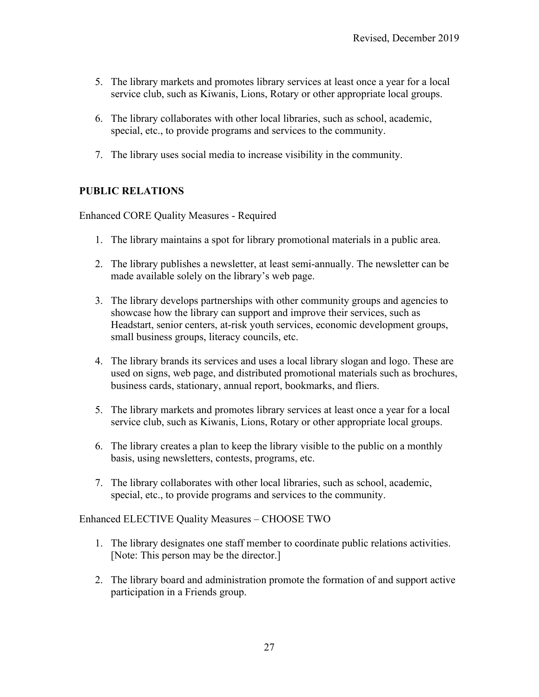- 5. The library markets and promotes library services at least once a year for a local service club, such as Kiwanis, Lions, Rotary or other appropriate local groups.
- 6. The library collaborates with other local libraries, such as school, academic, special, etc., to provide programs and services to the community.
- 7. The library uses social media to increase visibility in the community.

#### **PUBLIC RELATIONS**

Enhanced CORE Quality Measures - Required

- 1. The library maintains a spot for library promotional materials in a public area.
- 2. The library publishes a newsletter, at least semi-annually. The newsletter can be made available solely on the library's web page.
- 3. The library develops partnerships with other community groups and agencies to showcase how the library can support and improve their services, such as Headstart, senior centers, at-risk youth services, economic development groups, small business groups, literacy councils, etc.
- 4. The library brands its services and uses a local library slogan and logo. These are used on signs, web page, and distributed promotional materials such as brochures, business cards, stationary, annual report, bookmarks, and fliers.
- 5. The library markets and promotes library services at least once a year for a local service club, such as Kiwanis, Lions, Rotary or other appropriate local groups.
- 6. The library creates a plan to keep the library visible to the public on a monthly basis, using newsletters, contests, programs, etc.
- 7. The library collaborates with other local libraries, such as school, academic, special, etc., to provide programs and services to the community.

Enhanced ELECTIVE Quality Measures – CHOOSE TWO

- 1. The library designates one staff member to coordinate public relations activities. [Note: This person may be the director.]
- 2. The library board and administration promote the formation of and support active participation in a Friends group.